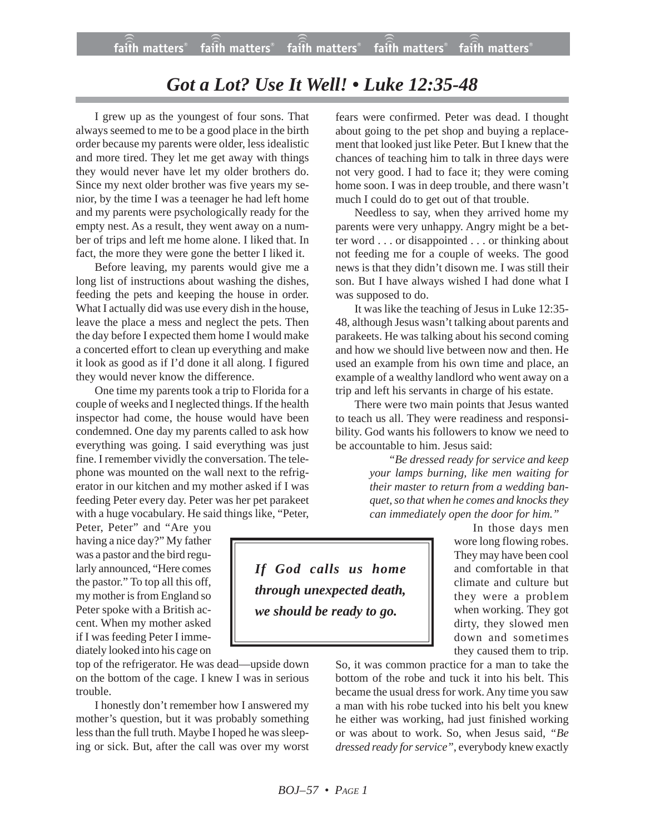## *Got a Lot? Use It Well! • Luke 12:35-48*

I grew up as the youngest of four sons. That always seemed to me to be a good place in the birth order because my parents were older, less idealistic and more tired. They let me get away with things they would never have let my older brothers do. Since my next older brother was five years my senior, by the time I was a teenager he had left home and my parents were psychologically ready for the empty nest. As a result, they went away on a number of trips and left me home alone. I liked that. In fact, the more they were gone the better I liked it.

Before leaving, my parents would give me a long list of instructions about washing the dishes, feeding the pets and keeping the house in order. What I actually did was use every dish in the house, leave the place a mess and neglect the pets. Then the day before I expected them home I would make a concerted effort to clean up everything and make it look as good as if I'd done it all along. I figured they would never know the difference.

One time my parents took a trip to Florida for a couple of weeks and I neglected things. If the health inspector had come, the house would have been condemned. One day my parents called to ask how everything was going. I said everything was just fine. I remember vividly the conversation. The telephone was mounted on the wall next to the refrigerator in our kitchen and my mother asked if I was feeding Peter every day. Peter was her pet parakeet with a huge vocabulary. He said things like, "Peter,

Peter, Peter" and "Are you having a nice day?" My father was a pastor and the bird regularly announced, "Here comes the pastor." To top all this off, my mother is from England so Peter spoke with a British accent. When my mother asked if I was feeding Peter I immediately looked into his cage on

top of the refrigerator. He was dead—upside down on the bottom of the cage. I knew I was in serious trouble.

I honestly don't remember how I answered my mother's question, but it was probably something less than the full truth. Maybe I hoped he was sleeping or sick. But, after the call was over my worst fears were confirmed. Peter was dead. I thought about going to the pet shop and buying a replacement that looked just like Peter. But I knew that the chances of teaching him to talk in three days were not very good. I had to face it; they were coming home soon. I was in deep trouble, and there wasn't much I could do to get out of that trouble.

Needless to say, when they arrived home my parents were very unhappy. Angry might be a better word . . . or disappointed . . . or thinking about not feeding me for a couple of weeks. The good news is that they didn't disown me. I was still their son. But I have always wished I had done what I was supposed to do.

It was like the teaching of Jesus in Luke 12:35- 48, although Jesus wasn't talking about parents and parakeets. He was talking about his second coming and how we should live between now and then. He used an example from his own time and place, an example of a wealthy landlord who went away on a trip and left his servants in charge of his estate.

There were two main points that Jesus wanted to teach us all. They were readiness and responsibility. God wants his followers to know we need to be accountable to him. Jesus said:

> *"Be dressed ready for service and keep your lamps burning, like men waiting for their master to return from a wedding banquet, so that when he comes and knocks they can immediately open the door for him."*

*If God calls us home through unexpected death, we should be ready to go.*

In those days men wore long flowing robes. They may have been cool and comfortable in that climate and culture but they were a problem when working. They got dirty, they slowed men down and sometimes they caused them to trip.

So, it was common practice for a man to take the bottom of the robe and tuck it into his belt. This became the usual dress for work. Any time you saw a man with his robe tucked into his belt you knew he either was working, had just finished working or was about to work. So, when Jesus said, *"Be dressed ready for service"*, everybody knew exactly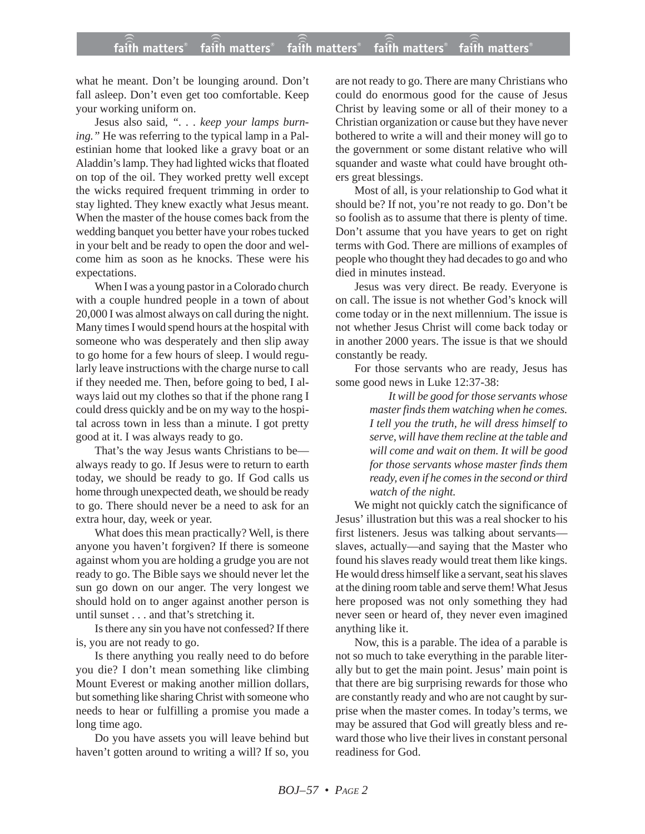## **faith matters® faith matters® faith matters® faith matters® faith matters®** ))) ))) faith matters® faith matters® faith matters

what he meant. Don't be lounging around. Don't fall asleep. Don't even get too comfortable. Keep your working uniform on.

Jesus also said, *". . . keep your lamps burning."* He was referring to the typical lamp in a Palestinian home that looked like a gravy boat or an Aladdin's lamp. They had lighted wicks that floated on top of the oil. They worked pretty well except the wicks required frequent trimming in order to stay lighted. They knew exactly what Jesus meant. When the master of the house comes back from the wedding banquet you better have your robes tucked in your belt and be ready to open the door and welcome him as soon as he knocks. These were his expectations.

When I was a young pastor in a Colorado church with a couple hundred people in a town of about 20,000 I was almost always on call during the night. Many times I would spend hours at the hospital with someone who was desperately and then slip away to go home for a few hours of sleep. I would regularly leave instructions with the charge nurse to call if they needed me. Then, before going to bed, I always laid out my clothes so that if the phone rang I could dress quickly and be on my way to the hospital across town in less than a minute. I got pretty good at it. I was always ready to go.

That's the way Jesus wants Christians to be always ready to go. If Jesus were to return to earth today, we should be ready to go. If God calls us home through unexpected death, we should be ready to go. There should never be a need to ask for an extra hour, day, week or year.

What does this mean practically? Well, is there anyone you haven't forgiven? If there is someone against whom you are holding a grudge you are not ready to go. The Bible says we should never let the sun go down on our anger. The very longest we should hold on to anger against another person is until sunset . . . and that's stretching it.

Is there any sin you have not confessed? If there is, you are not ready to go.

Is there anything you really need to do before you die? I don't mean something like climbing Mount Everest or making another million dollars, but something like sharing Christ with someone who needs to hear or fulfilling a promise you made a long time ago.

Do you have assets you will leave behind but haven't gotten around to writing a will? If so, you are not ready to go. There are many Christians who could do enormous good for the cause of Jesus Christ by leaving some or all of their money to a Christian organization or cause but they have never bothered to write a will and their money will go to the government or some distant relative who will squander and waste what could have brought others great blessings.

Most of all, is your relationship to God what it should be? If not, you're not ready to go. Don't be so foolish as to assume that there is plenty of time. Don't assume that you have years to get on right terms with God. There are millions of examples of people who thought they had decades to go and who died in minutes instead.

Jesus was very direct. Be ready. Everyone is on call. The issue is not whether God's knock will come today or in the next millennium. The issue is not whether Jesus Christ will come back today or in another 2000 years. The issue is that we should constantly be ready.

For those servants who are ready, Jesus has some good news in Luke 12:37-38:

> *It will be good for those servants whose master finds them watching when he comes. I tell you the truth, he will dress himself to serve, will have them recline at the table and will come and wait on them. It will be good for those servants whose master finds them ready, even if he comes in the second or third watch of the night.*

We might not quickly catch the significance of Jesus' illustration but this was a real shocker to his first listeners. Jesus was talking about servants slaves, actually—and saying that the Master who found his slaves ready would treat them like kings. He would dress himself like a servant, seat his slaves at the dining room table and serve them! What Jesus here proposed was not only something they had never seen or heard of, they never even imagined anything like it.

Now, this is a parable. The idea of a parable is not so much to take everything in the parable literally but to get the main point. Jesus' main point is that there are big surprising rewards for those who are constantly ready and who are not caught by surprise when the master comes. In today's terms, we may be assured that God will greatly bless and reward those who live their lives in constant personal readiness for God.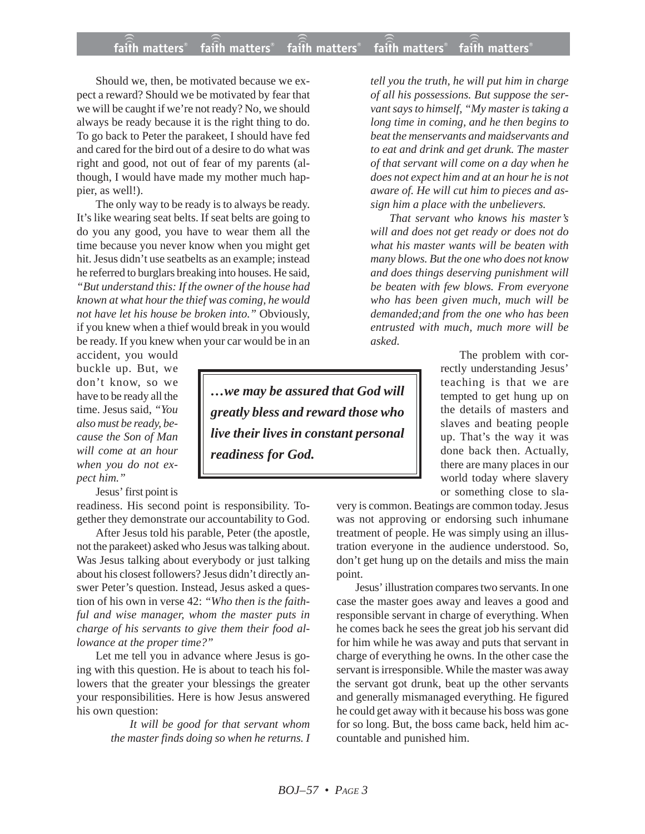## **faith matters® faith matters® faith matters® faith matters® faith matters®** ))) ))) faith matters® faith matters® faith matters

Should we, then, be motivated because we expect a reward? Should we be motivated by fear that we will be caught if we're not ready? No, we should always be ready because it is the right thing to do. To go back to Peter the parakeet, I should have fed and cared for the bird out of a desire to do what was right and good, not out of fear of my parents (although, I would have made my mother much happier, as well!).

The only way to be ready is to always be ready. It's like wearing seat belts. If seat belts are going to do you any good, you have to wear them all the time because you never know when you might get hit. Jesus didn't use seatbelts as an example; instead he referred to burglars breaking into houses. He said, *"But understand this: If the owner of the house had known at what hour the thief was coming, he would not have let his house be broken into."* Obviously, if you knew when a thief would break in you would be ready. If you knew when your car would be in an

accident, you would buckle up. But, we don't know, so we have to be ready all the time. Jesus said, *"You also must be ready, because the Son of Man will come at an hour when you do not expect him."*

Jesus' first point is

readiness. His second point is responsibility. Together they demonstrate our accountability to God.

After Jesus told his parable, Peter (the apostle, not the parakeet) asked who Jesus was talking about. Was Jesus talking about everybody or just talking about his closest followers? Jesus didn't directly answer Peter's question. Instead, Jesus asked a question of his own in verse 42: *"Who then is the faithful and wise manager, whom the master puts in charge of his servants to give them their food allowance at the proper time?"*

Let me tell you in advance where Jesus is going with this question. He is about to teach his followers that the greater your blessings the greater your responsibilities. Here is how Jesus answered his own question:

> *It will be good for that servant whom the master finds doing so when he returns. I*

*…we may be assured that God will greatly bless and reward those who live their lives in constant personal readiness for God.*

*tell you the truth, he will put him in charge of all his possessions. But suppose the servant says to himself, "My master is taking a long time in coming, and he then begins to beat the menservants and maidservants and to eat and drink and get drunk. The master of that servant will come on a day when he does not expect him and at an hour he is not aware of. He will cut him to pieces and assign him a place with the unbelievers.*

*That servant who knows his master's will and does not get ready or does not do what his master wants will be beaten with many blows. But the one who does not know and does things deserving punishment will be beaten with few blows. From everyone who has been given much, much will be demanded;and from the one who has been entrusted with much, much more will be asked.*

> The problem with correctly understanding Jesus' teaching is that we are tempted to get hung up on the details of masters and slaves and beating people up. That's the way it was done back then. Actually, there are many places in our world today where slavery or something close to sla-

very is common. Beatings are common today. Jesus was not approving or endorsing such inhumane treatment of people. He was simply using an illustration everyone in the audience understood. So, don't get hung up on the details and miss the main point.

Jesus' illustration compares two servants. In one case the master goes away and leaves a good and responsible servant in charge of everything. When he comes back he sees the great job his servant did for him while he was away and puts that servant in charge of everything he owns. In the other case the servant is irresponsible. While the master was away the servant got drunk, beat up the other servants and generally mismanaged everything. He figured he could get away with it because his boss was gone for so long. But, the boss came back, held him accountable and punished him.